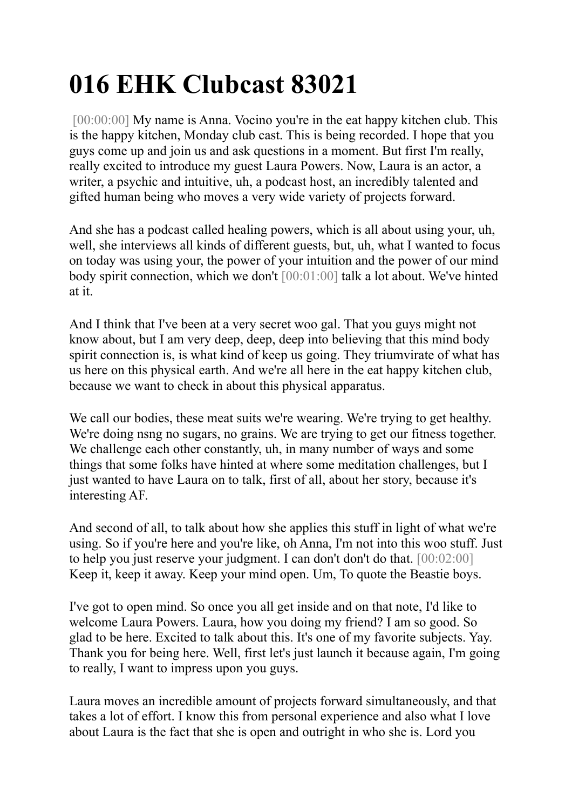## **016 EHK Clubcast 83021**

[00:00:00] My name is Anna. Vocino you're in the eat happy kitchen club. This is the happy kitchen, Monday club cast. This is being recorded. I hope that you guys come up and join us and ask questions in a moment. But first I'm really, really excited to introduce my guest Laura Powers. Now, Laura is an actor, a writer, a psychic and intuitive, uh, a podcast host, an incredibly talented and gifted human being who moves a very wide variety of projects forward.

And she has a podcast called healing powers, which is all about using your, uh, well, she interviews all kinds of different guests, but, uh, what I wanted to focus on today was using your, the power of your intuition and the power of our mind body spirit connection, which we don't [00:01:00] talk a lot about. We've hinted at it.

And I think that I've been at a very secret woo gal. That you guys might not know about, but I am very deep, deep, deep into believing that this mind body spirit connection is, is what kind of keep us going. They triumvirate of what has us here on this physical earth. And we're all here in the eat happy kitchen club, because we want to check in about this physical apparatus.

We call our bodies, these meat suits we're wearing. We're trying to get healthy. We're doing nsng no sugars, no grains. We are trying to get our fitness together. We challenge each other constantly, uh, in many number of ways and some things that some folks have hinted at where some meditation challenges, but I just wanted to have Laura on to talk, first of all, about her story, because it's interesting AF.

And second of all, to talk about how she applies this stuff in light of what we're using. So if you're here and you're like, oh Anna, I'm not into this woo stuff. Just to help you just reserve your judgment. I can don't don't do that. [00:02:00] Keep it, keep it away. Keep your mind open. Um, To quote the Beastie boys.

I've got to open mind. So once you all get inside and on that note, I'd like to welcome Laura Powers. Laura, how you doing my friend? I am so good. So glad to be here. Excited to talk about this. It's one of my favorite subjects. Yay. Thank you for being here. Well, first let's just launch it because again, I'm going to really, I want to impress upon you guys.

Laura moves an incredible amount of projects forward simultaneously, and that takes a lot of effort. I know this from personal experience and also what I love about Laura is the fact that she is open and outright in who she is. Lord you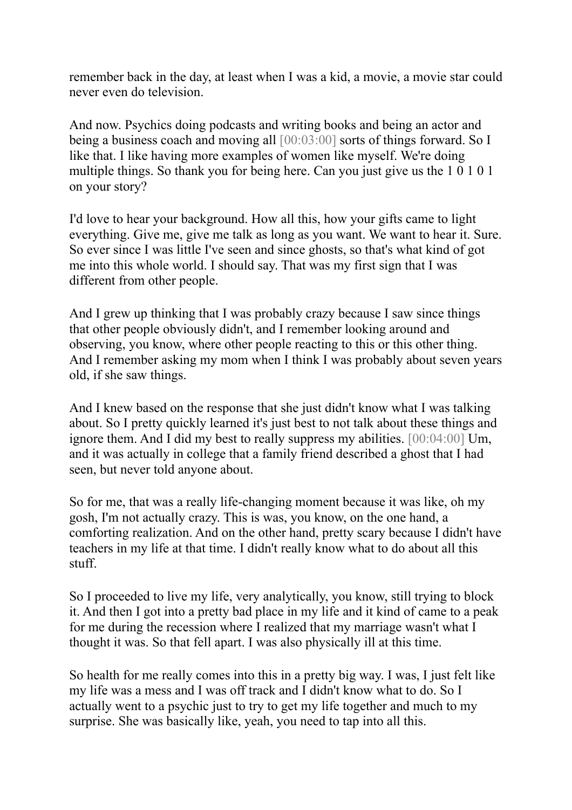remember back in the day, at least when I was a kid, a movie, a movie star could never even do television.

And now. Psychics doing podcasts and writing books and being an actor and being a business coach and moving all [00:03:00] sorts of things forward. So I like that. I like having more examples of women like myself. We're doing multiple things. So thank you for being here. Can you just give us the 1 0 1 0 1 on your story?

I'd love to hear your background. How all this, how your gifts came to light everything. Give me, give me talk as long as you want. We want to hear it. Sure. So ever since I was little I've seen and since ghosts, so that's what kind of got me into this whole world. I should say. That was my first sign that I was different from other people.

And I grew up thinking that I was probably crazy because I saw since things that other people obviously didn't, and I remember looking around and observing, you know, where other people reacting to this or this other thing. And I remember asking my mom when I think I was probably about seven years old, if she saw things.

And I knew based on the response that she just didn't know what I was talking about. So I pretty quickly learned it's just best to not talk about these things and ignore them. And I did my best to really suppress my abilities. [00:04:00] Um, and it was actually in college that a family friend described a ghost that I had seen, but never told anyone about.

So for me, that was a really life-changing moment because it was like, oh my gosh, I'm not actually crazy. This is was, you know, on the one hand, a comforting realization. And on the other hand, pretty scary because I didn't have teachers in my life at that time. I didn't really know what to do about all this stuff.

So I proceeded to live my life, very analytically, you know, still trying to block it. And then I got into a pretty bad place in my life and it kind of came to a peak for me during the recession where I realized that my marriage wasn't what I thought it was. So that fell apart. I was also physically ill at this time.

So health for me really comes into this in a pretty big way. I was, I just felt like my life was a mess and I was off track and I didn't know what to do. So I actually went to a psychic just to try to get my life together and much to my surprise. She was basically like, yeah, you need to tap into all this.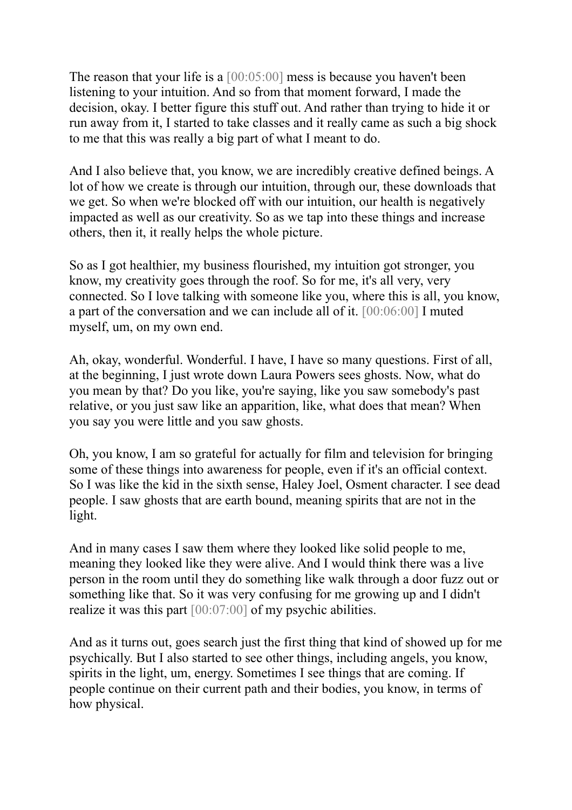The reason that your life is a [00:05:00] mess is because you haven't been listening to your intuition. And so from that moment forward, I made the decision, okay. I better figure this stuff out. And rather than trying to hide it or run away from it, I started to take classes and it really came as such a big shock to me that this was really a big part of what I meant to do.

And I also believe that, you know, we are incredibly creative defined beings. A lot of how we create is through our intuition, through our, these downloads that we get. So when we're blocked off with our intuition, our health is negatively impacted as well as our creativity. So as we tap into these things and increase others, then it, it really helps the whole picture.

So as I got healthier, my business flourished, my intuition got stronger, you know, my creativity goes through the roof. So for me, it's all very, very connected. So I love talking with someone like you, where this is all, you know, a part of the conversation and we can include all of it. [00:06:00] I muted myself, um, on my own end.

Ah, okay, wonderful. Wonderful. I have, I have so many questions. First of all, at the beginning, I just wrote down Laura Powers sees ghosts. Now, what do you mean by that? Do you like, you're saying, like you saw somebody's past relative, or you just saw like an apparition, like, what does that mean? When you say you were little and you saw ghosts.

Oh, you know, I am so grateful for actually for film and television for bringing some of these things into awareness for people, even if it's an official context. So I was like the kid in the sixth sense, Haley Joel, Osment character. I see dead people. I saw ghosts that are earth bound, meaning spirits that are not in the light.

And in many cases I saw them where they looked like solid people to me, meaning they looked like they were alive. And I would think there was a live person in the room until they do something like walk through a door fuzz out or something like that. So it was very confusing for me growing up and I didn't realize it was this part [00:07:00] of my psychic abilities.

And as it turns out, goes search just the first thing that kind of showed up for me psychically. But I also started to see other things, including angels, you know, spirits in the light, um, energy. Sometimes I see things that are coming. If people continue on their current path and their bodies, you know, in terms of how physical.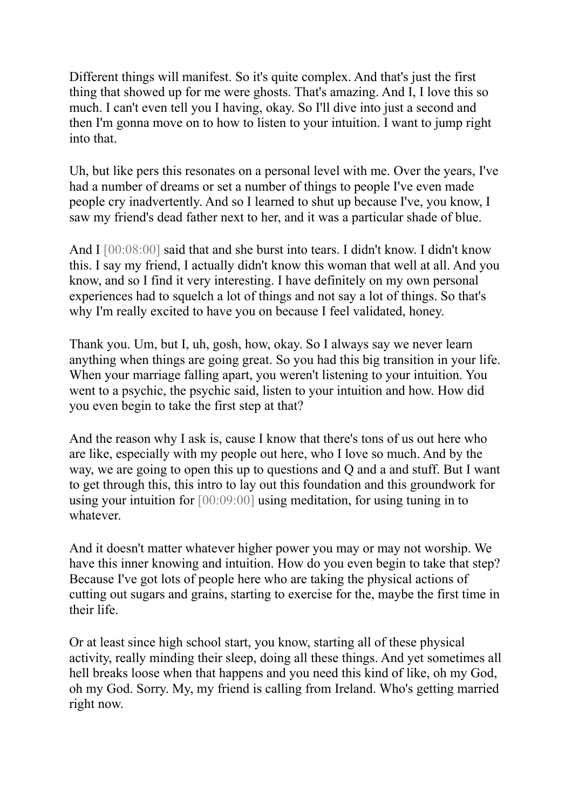Different things will manifest. So it's quite complex. And that's just the first thing that showed up for me were ghosts. That's amazing. And I, I love this so much. I can't even tell you I having, okay. So I'll dive into just a second and then I'm gonna move on to how to listen to your intuition. I want to jump right into that.

Uh, but like pers this resonates on a personal level with me. Over the years, I've had a number of dreams or set a number of things to people I've even made people cry inadvertently. And so I learned to shut up because I've, you know, I saw my friend's dead father next to her, and it was a particular shade of blue.

And I  $[00:08:00]$  said that and she burst into tears. I didn't know. I didn't know this. I say my friend, I actually didn't know this woman that well at all. And you know, and so I find it very interesting. I have definitely on my own personal experiences had to squelch a lot of things and not say a lot of things. So that's why I'm really excited to have you on because I feel validated, honey.

Thank you. Um, but I, uh, gosh, how, okay. So I always say we never learn anything when things are going great. So you had this big transition in your life. When your marriage falling apart, you weren't listening to your intuition. You went to a psychic, the psychic said, listen to your intuition and how. How did you even begin to take the first step at that?

And the reason why I ask is, cause I know that there's tons of us out here who are like, especially with my people out here, who I love so much. And by the way, we are going to open this up to questions and Q and a and stuff. But I want to get through this, this intro to lay out this foundation and this groundwork for using your intuition for [00:09:00] using meditation, for using tuning in to whatever.

And it doesn't matter whatever higher power you may or may not worship. We have this inner knowing and intuition. How do you even begin to take that step? Because I've got lots of people here who are taking the physical actions of cutting out sugars and grains, starting to exercise for the, maybe the first time in their life.

Or at least since high school start, you know, starting all of these physical activity, really minding their sleep, doing all these things. And yet sometimes all hell breaks loose when that happens and you need this kind of like, oh my God, oh my God. Sorry. My, my friend is calling from Ireland. Who's getting married right now.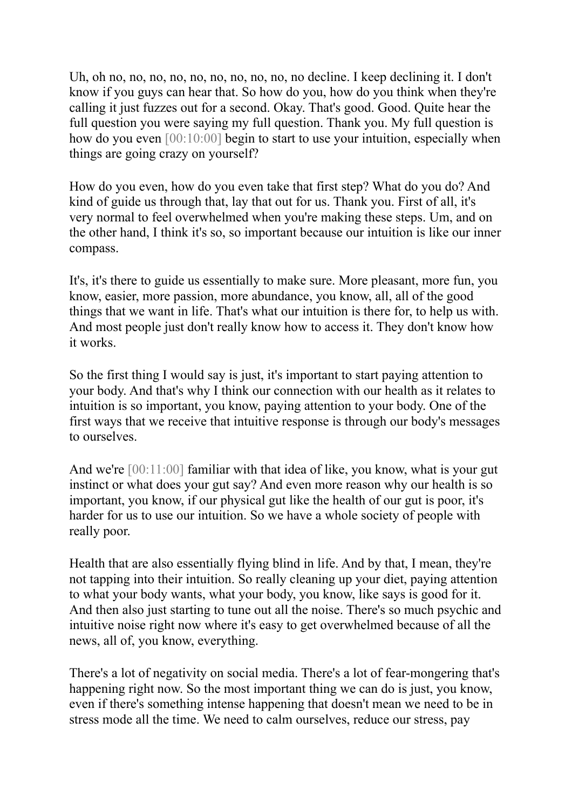Uh, oh no, no, no, no, no, no, no, no, no, no decline. I keep declining it. I don't know if you guys can hear that. So how do you, how do you think when they're calling it just fuzzes out for a second. Okay. That's good. Good. Quite hear the full question you were saying my full question. Thank you. My full question is how do you even [00:10:00] begin to start to use your intuition, especially when things are going crazy on yourself?

How do you even, how do you even take that first step? What do you do? And kind of guide us through that, lay that out for us. Thank you. First of all, it's very normal to feel overwhelmed when you're making these steps. Um, and on the other hand, I think it's so, so important because our intuition is like our inner compass.

It's, it's there to guide us essentially to make sure. More pleasant, more fun, you know, easier, more passion, more abundance, you know, all, all of the good things that we want in life. That's what our intuition is there for, to help us with. And most people just don't really know how to access it. They don't know how it works.

So the first thing I would say is just, it's important to start paying attention to your body. And that's why I think our connection with our health as it relates to intuition is so important, you know, paying attention to your body. One of the first ways that we receive that intuitive response is through our body's messages to ourselves.

And we're [00:11:00] familiar with that idea of like, you know, what is your gut instinct or what does your gut say? And even more reason why our health is so important, you know, if our physical gut like the health of our gut is poor, it's harder for us to use our intuition. So we have a whole society of people with really poor.

Health that are also essentially flying blind in life. And by that, I mean, they're not tapping into their intuition. So really cleaning up your diet, paying attention to what your body wants, what your body, you know, like says is good for it. And then also just starting to tune out all the noise. There's so much psychic and intuitive noise right now where it's easy to get overwhelmed because of all the news, all of, you know, everything.

There's a lot of negativity on social media. There's a lot of fear-mongering that's happening right now. So the most important thing we can do is just, you know, even if there's something intense happening that doesn't mean we need to be in stress mode all the time. We need to calm ourselves, reduce our stress, pay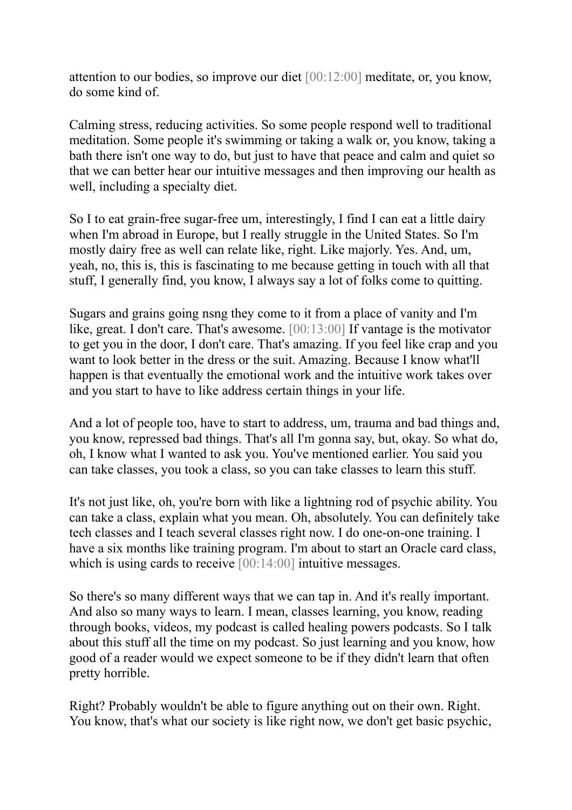attention to our bodies, so improve our diet [00:12:00] meditate, or, you know, do some kind of.

Calming stress, reducing activities. So some people respond well to traditional meditation. Some people it's swimming or taking a walk or, you know, taking a bath there isn't one way to do, but just to have that peace and calm and quiet so that we can better hear our intuitive messages and then improving our health as well, including a specialty diet.

So I to eat grain-free sugar-free um, interestingly, I find I can eat a little dairy when I'm abroad in Europe, but I really struggle in the United States. So I'm mostly dairy free as well can relate like, right. Like majorly. Yes. And, um, yeah, no, this is, this is fascinating to me because getting in touch with all that stuff, I generally find, you know, I always say a lot of folks come to quitting.

Sugars and grains going nsng they come to it from a place of vanity and I'm like, great. I don't care. That's awesome. [00:13:00] If vantage is the motivator to get you in the door, I don't care. That's amazing. If you feel like crap and you want to look better in the dress or the suit. Amazing. Because I know what'll happen is that eventually the emotional work and the intuitive work takes over and you start to have to like address certain things in your life.

And a lot of people too, have to start to address, um, trauma and bad things and, you know, repressed bad things. That's all I'm gonna say, but, okay. So what do, oh, I know what I wanted to ask you. You've mentioned earlier. You said you can take classes, you took a class, so you can take classes to learn this stuff.

It's not just like, oh, you're born with like a lightning rod of psychic ability. You can take a class, explain what you mean. Oh, absolutely. You can definitely take tech classes and I teach several classes right now. I do one-on-one training. I have a six months like training program. I'm about to start an Oracle card class, which is using cards to receive [00:14:00] intuitive messages.

So there's so many different ways that we can tap in. And it's really important. And also so many ways to learn. I mean, classes learning, you know, reading through books, videos, my podcast is called healing powers podcasts. So I talk about this stuff all the time on my podcast. So just learning and you know, how good of a reader would we expect someone to be if they didn't learn that often pretty horrible.

Right? Probably wouldn't be able to figure anything out on their own. Right. You know, that's what our society is like right now, we don't get basic psychic,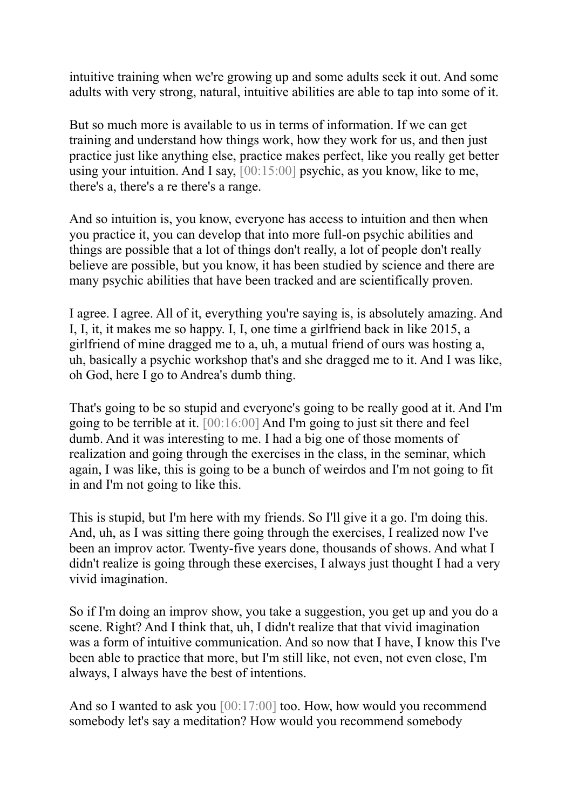intuitive training when we're growing up and some adults seek it out. And some adults with very strong, natural, intuitive abilities are able to tap into some of it.

But so much more is available to us in terms of information. If we can get training and understand how things work, how they work for us, and then just practice just like anything else, practice makes perfect, like you really get better using your intuition. And I say, [00:15:00] psychic, as you know, like to me, there's a, there's a re there's a range.

And so intuition is, you know, everyone has access to intuition and then when you practice it, you can develop that into more full-on psychic abilities and things are possible that a lot of things don't really, a lot of people don't really believe are possible, but you know, it has been studied by science and there are many psychic abilities that have been tracked and are scientifically proven.

I agree. I agree. All of it, everything you're saying is, is absolutely amazing. And I, I, it, it makes me so happy. I, I, one time a girlfriend back in like 2015, a girlfriend of mine dragged me to a, uh, a mutual friend of ours was hosting a, uh, basically a psychic workshop that's and she dragged me to it. And I was like, oh God, here I go to Andrea's dumb thing.

That's going to be so stupid and everyone's going to be really good at it. And I'm going to be terrible at it. [00:16:00] And I'm going to just sit there and feel dumb. And it was interesting to me. I had a big one of those moments of realization and going through the exercises in the class, in the seminar, which again, I was like, this is going to be a bunch of weirdos and I'm not going to fit in and I'm not going to like this.

This is stupid, but I'm here with my friends. So I'll give it a go. I'm doing this. And, uh, as I was sitting there going through the exercises, I realized now I've been an improv actor. Twenty-five years done, thousands of shows. And what I didn't realize is going through these exercises, I always just thought I had a very vivid imagination.

So if I'm doing an improv show, you take a suggestion, you get up and you do a scene. Right? And I think that, uh, I didn't realize that that vivid imagination was a form of intuitive communication. And so now that I have, I know this I've been able to practice that more, but I'm still like, not even, not even close, I'm always, I always have the best of intentions.

And so I wanted to ask you [00:17:00] too. How, how would you recommend somebody let's say a meditation? How would you recommend somebody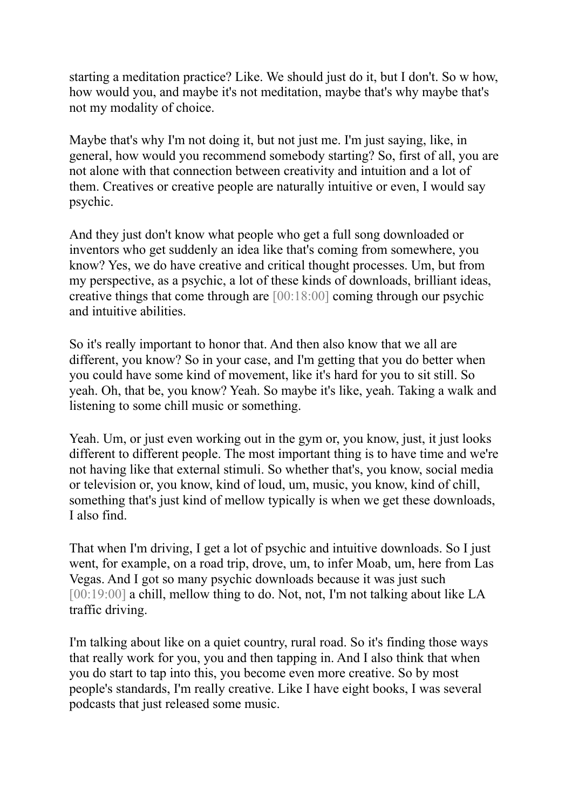starting a meditation practice? Like. We should just do it, but I don't. So w how, how would you, and maybe it's not meditation, maybe that's why maybe that's not my modality of choice.

Maybe that's why I'm not doing it, but not just me. I'm just saying, like, in general, how would you recommend somebody starting? So, first of all, you are not alone with that connection between creativity and intuition and a lot of them. Creatives or creative people are naturally intuitive or even, I would say psychic.

And they just don't know what people who get a full song downloaded or inventors who get suddenly an idea like that's coming from somewhere, you know? Yes, we do have creative and critical thought processes. Um, but from my perspective, as a psychic, a lot of these kinds of downloads, brilliant ideas, creative things that come through are [00:18:00] coming through our psychic and intuitive abilities.

So it's really important to honor that. And then also know that we all are different, you know? So in your case, and I'm getting that you do better when you could have some kind of movement, like it's hard for you to sit still. So yeah. Oh, that be, you know? Yeah. So maybe it's like, yeah. Taking a walk and listening to some chill music or something.

Yeah. Um, or just even working out in the gym or, you know, just, it just looks different to different people. The most important thing is to have time and we're not having like that external stimuli. So whether that's, you know, social media or television or, you know, kind of loud, um, music, you know, kind of chill, something that's just kind of mellow typically is when we get these downloads, I also find.

That when I'm driving, I get a lot of psychic and intuitive downloads. So I just went, for example, on a road trip, drove, um, to infer Moab, um, here from Las Vegas. And I got so many psychic downloads because it was just such [00:19:00] a chill, mellow thing to do. Not, not, I'm not talking about like LA traffic driving.

I'm talking about like on a quiet country, rural road. So it's finding those ways that really work for you, you and then tapping in. And I also think that when you do start to tap into this, you become even more creative. So by most people's standards, I'm really creative. Like I have eight books, I was several podcasts that just released some music.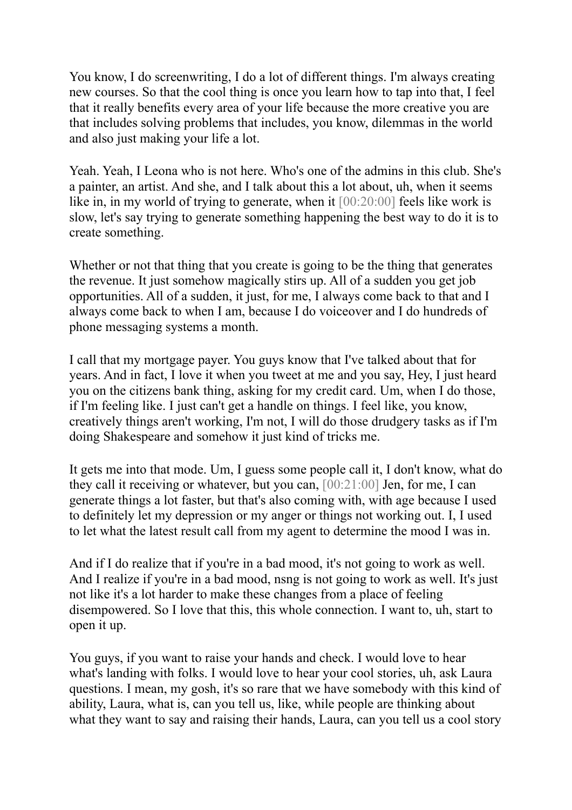You know, I do screenwriting, I do a lot of different things. I'm always creating new courses. So that the cool thing is once you learn how to tap into that, I feel that it really benefits every area of your life because the more creative you are that includes solving problems that includes, you know, dilemmas in the world and also just making your life a lot.

Yeah. Yeah, I Leona who is not here. Who's one of the admins in this club. She's a painter, an artist. And she, and I talk about this a lot about, uh, when it seems like in, in my world of trying to generate, when it  $[00:20:00]$  feels like work is slow, let's say trying to generate something happening the best way to do it is to create something.

Whether or not that thing that you create is going to be the thing that generates the revenue. It just somehow magically stirs up. All of a sudden you get job opportunities. All of a sudden, it just, for me, I always come back to that and I always come back to when I am, because I do voiceover and I do hundreds of phone messaging systems a month.

I call that my mortgage payer. You guys know that I've talked about that for years. And in fact, I love it when you tweet at me and you say, Hey, I just heard you on the citizens bank thing, asking for my credit card. Um, when I do those, if I'm feeling like. I just can't get a handle on things. I feel like, you know, creatively things aren't working, I'm not, I will do those drudgery tasks as if I'm doing Shakespeare and somehow it just kind of tricks me.

It gets me into that mode. Um, I guess some people call it, I don't know, what do they call it receiving or whatever, but you can, [00:21:00] Jen, for me, I can generate things a lot faster, but that's also coming with, with age because I used to definitely let my depression or my anger or things not working out. I, I used to let what the latest result call from my agent to determine the mood I was in.

And if I do realize that if you're in a bad mood, it's not going to work as well. And I realize if you're in a bad mood, nsng is not going to work as well. It's just not like it's a lot harder to make these changes from a place of feeling disempowered. So I love that this, this whole connection. I want to, uh, start to open it up.

You guys, if you want to raise your hands and check. I would love to hear what's landing with folks. I would love to hear your cool stories, uh, ask Laura questions. I mean, my gosh, it's so rare that we have somebody with this kind of ability, Laura, what is, can you tell us, like, while people are thinking about what they want to say and raising their hands, Laura, can you tell us a cool story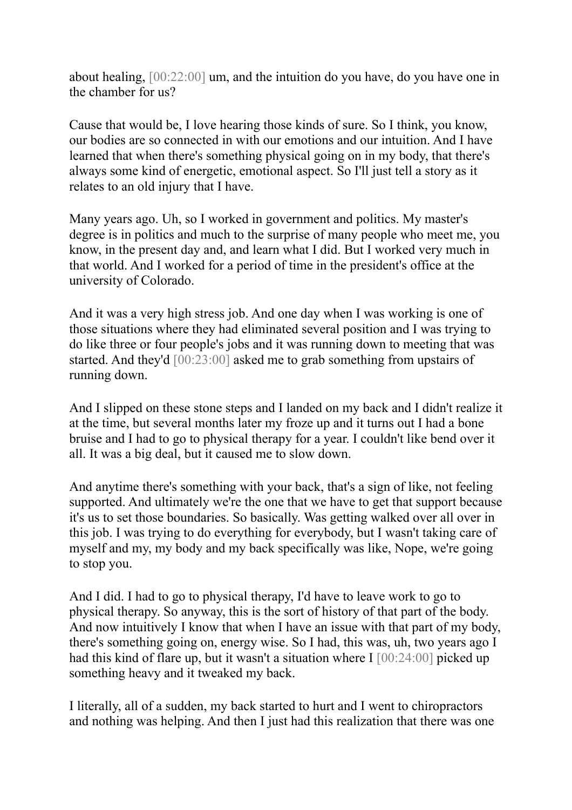about healing, [00:22:00] um, and the intuition do you have, do you have one in the chamber for us?

Cause that would be, I love hearing those kinds of sure. So I think, you know, our bodies are so connected in with our emotions and our intuition. And I have learned that when there's something physical going on in my body, that there's always some kind of energetic, emotional aspect. So I'll just tell a story as it relates to an old injury that I have.

Many years ago. Uh, so I worked in government and politics. My master's degree is in politics and much to the surprise of many people who meet me, you know, in the present day and, and learn what I did. But I worked very much in that world. And I worked for a period of time in the president's office at the university of Colorado.

And it was a very high stress job. And one day when I was working is one of those situations where they had eliminated several position and I was trying to do like three or four people's jobs and it was running down to meeting that was started. And they'd [00:23:00] asked me to grab something from upstairs of running down.

And I slipped on these stone steps and I landed on my back and I didn't realize it at the time, but several months later my froze up and it turns out I had a bone bruise and I had to go to physical therapy for a year. I couldn't like bend over it all. It was a big deal, but it caused me to slow down.

And anytime there's something with your back, that's a sign of like, not feeling supported. And ultimately we're the one that we have to get that support because it's us to set those boundaries. So basically. Was getting walked over all over in this job. I was trying to do everything for everybody, but I wasn't taking care of myself and my, my body and my back specifically was like, Nope, we're going to stop you.

And I did. I had to go to physical therapy, I'd have to leave work to go to physical therapy. So anyway, this is the sort of history of that part of the body. And now intuitively I know that when I have an issue with that part of my body, there's something going on, energy wise. So I had, this was, uh, two years ago I had this kind of flare up, but it wasn't a situation where  $I$  [00:24:00] picked up something heavy and it tweaked my back.

I literally, all of a sudden, my back started to hurt and I went to chiropractors and nothing was helping. And then I just had this realization that there was one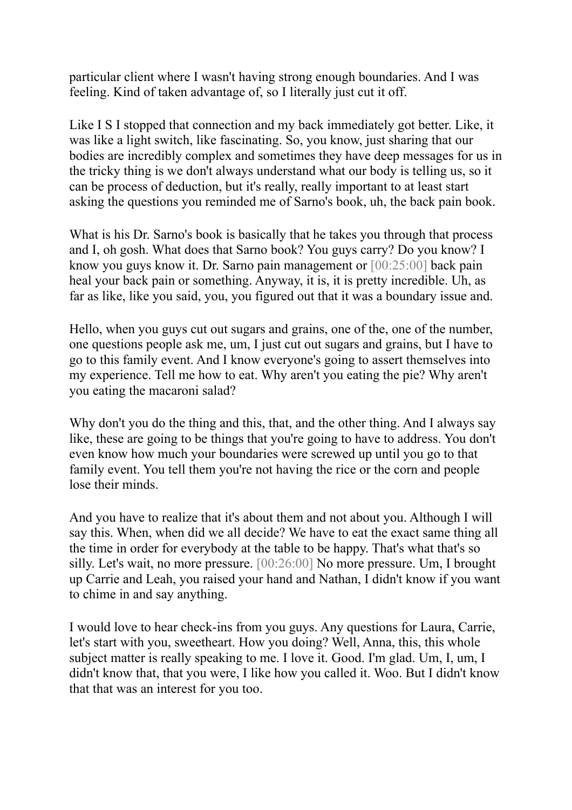particular client where I wasn't having strong enough boundaries. And I was feeling. Kind of taken advantage of, so I literally just cut it off.

Like I S I stopped that connection and my back immediately got better. Like, it was like a light switch, like fascinating. So, you know, just sharing that our bodies are incredibly complex and sometimes they have deep messages for us in the tricky thing is we don't always understand what our body is telling us, so it can be process of deduction, but it's really, really important to at least start asking the questions you reminded me of Sarno's book, uh, the back pain book.

What is his Dr. Sarno's book is basically that he takes you through that process and I, oh gosh. What does that Sarno book? You guys carry? Do you know? I know you guys know it. Dr. Sarno pain management or [00:25:00] back pain heal your back pain or something. Anyway, it is, it is pretty incredible. Uh, as far as like, like you said, you, you figured out that it was a boundary issue and.

Hello, when you guys cut out sugars and grains, one of the, one of the number, one questions people ask me, um, I just cut out sugars and grains, but I have to go to this family event. And I know everyone's going to assert themselves into my experience. Tell me how to eat. Why aren't you eating the pie? Why aren't you eating the macaroni salad?

Why don't you do the thing and this, that, and the other thing. And I always say like, these are going to be things that you're going to have to address. You don't even know how much your boundaries were screwed up until you go to that family event. You tell them you're not having the rice or the corn and people lose their minds.

And you have to realize that it's about them and not about you. Although I will say this. When, when did we all decide? We have to eat the exact same thing all the time in order for everybody at the table to be happy. That's what that's so silly. Let's wait, no more pressure. [00:26:00] No more pressure. Um, I brought up Carrie and Leah, you raised your hand and Nathan, I didn't know if you want to chime in and say anything.

I would love to hear check-ins from you guys. Any questions for Laura, Carrie, let's start with you, sweetheart. How you doing? Well, Anna, this, this whole subject matter is really speaking to me. I love it. Good. I'm glad. Um, I, um, I didn't know that, that you were, I like how you called it. Woo. But I didn't know that that was an interest for you too.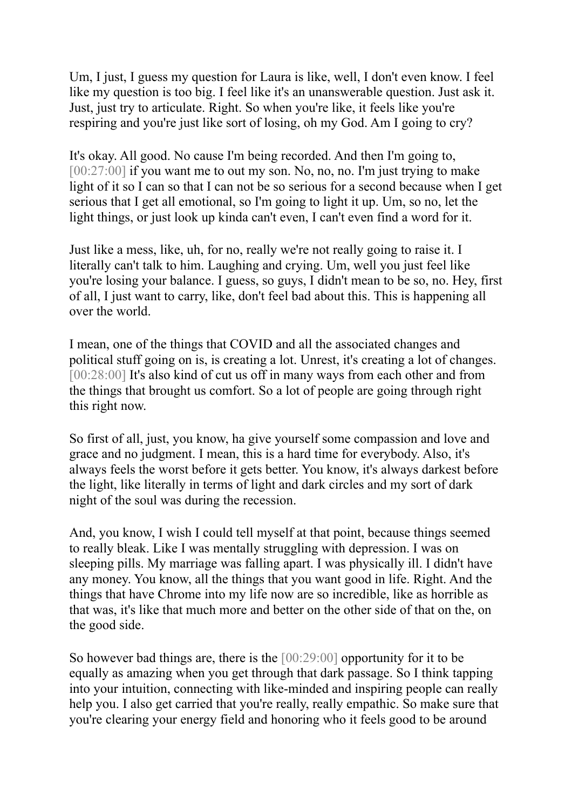Um, I just, I guess my question for Laura is like, well, I don't even know. I feel like my question is too big. I feel like it's an unanswerable question. Just ask it. Just, just try to articulate. Right. So when you're like, it feels like you're respiring and you're just like sort of losing, oh my God. Am I going to cry?

It's okay. All good. No cause I'm being recorded. And then I'm going to, [00:27:00] if you want me to out my son. No, no, no. I'm just trying to make light of it so I can so that I can not be so serious for a second because when I get serious that I get all emotional, so I'm going to light it up. Um, so no, let the light things, or just look up kinda can't even, I can't even find a word for it.

Just like a mess, like, uh, for no, really we're not really going to raise it. I literally can't talk to him. Laughing and crying. Um, well you just feel like you're losing your balance. I guess, so guys, I didn't mean to be so, no. Hey, first of all, I just want to carry, like, don't feel bad about this. This is happening all over the world.

I mean, one of the things that COVID and all the associated changes and political stuff going on is, is creating a lot. Unrest, it's creating a lot of changes. [00:28:00] It's also kind of cut us off in many ways from each other and from the things that brought us comfort. So a lot of people are going through right this right now.

So first of all, just, you know, ha give yourself some compassion and love and grace and no judgment. I mean, this is a hard time for everybody. Also, it's always feels the worst before it gets better. You know, it's always darkest before the light, like literally in terms of light and dark circles and my sort of dark night of the soul was during the recession.

And, you know, I wish I could tell myself at that point, because things seemed to really bleak. Like I was mentally struggling with depression. I was on sleeping pills. My marriage was falling apart. I was physically ill. I didn't have any money. You know, all the things that you want good in life. Right. And the things that have Chrome into my life now are so incredible, like as horrible as that was, it's like that much more and better on the other side of that on the, on the good side.

So however bad things are, there is the [00:29:00] opportunity for it to be equally as amazing when you get through that dark passage. So I think tapping into your intuition, connecting with like-minded and inspiring people can really help you. I also get carried that you're really, really empathic. So make sure that you're clearing your energy field and honoring who it feels good to be around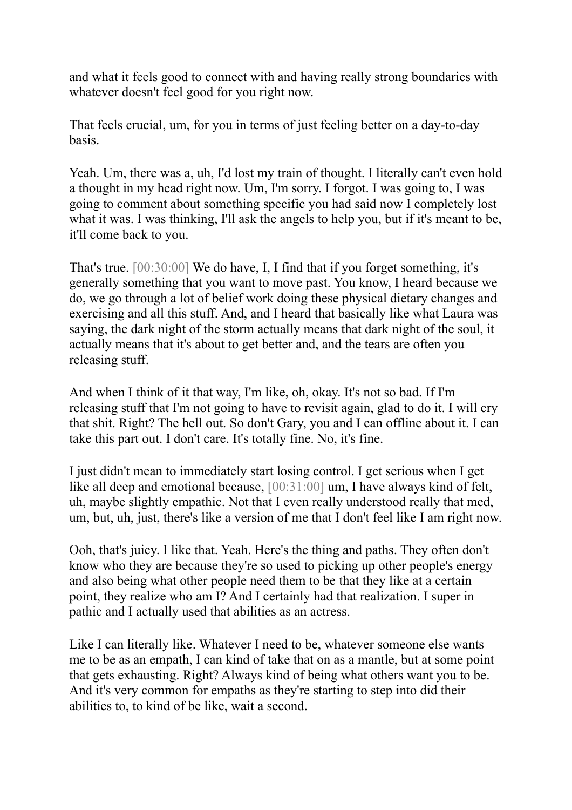and what it feels good to connect with and having really strong boundaries with whatever doesn't feel good for you right now.

That feels crucial, um, for you in terms of just feeling better on a day-to-day basis.

Yeah. Um, there was a, uh, I'd lost my train of thought. I literally can't even hold a thought in my head right now. Um, I'm sorry. I forgot. I was going to, I was going to comment about something specific you had said now I completely lost what it was. I was thinking, I'll ask the angels to help you, but if it's meant to be, it'll come back to you.

That's true. [00:30:00] We do have, I, I find that if you forget something, it's generally something that you want to move past. You know, I heard because we do, we go through a lot of belief work doing these physical dietary changes and exercising and all this stuff. And, and I heard that basically like what Laura was saying, the dark night of the storm actually means that dark night of the soul, it actually means that it's about to get better and, and the tears are often you releasing stuff.

And when I think of it that way, I'm like, oh, okay. It's not so bad. If I'm releasing stuff that I'm not going to have to revisit again, glad to do it. I will cry that shit. Right? The hell out. So don't Gary, you and I can offline about it. I can take this part out. I don't care. It's totally fine. No, it's fine.

I just didn't mean to immediately start losing control. I get serious when I get like all deep and emotional because, [00:31:00] um, I have always kind of felt, uh, maybe slightly empathic. Not that I even really understood really that med, um, but, uh, just, there's like a version of me that I don't feel like I am right now.

Ooh, that's juicy. I like that. Yeah. Here's the thing and paths. They often don't know who they are because they're so used to picking up other people's energy and also being what other people need them to be that they like at a certain point, they realize who am I? And I certainly had that realization. I super in pathic and I actually used that abilities as an actress.

Like I can literally like. Whatever I need to be, whatever someone else wants me to be as an empath, I can kind of take that on as a mantle, but at some point that gets exhausting. Right? Always kind of being what others want you to be. And it's very common for empaths as they're starting to step into did their abilities to, to kind of be like, wait a second.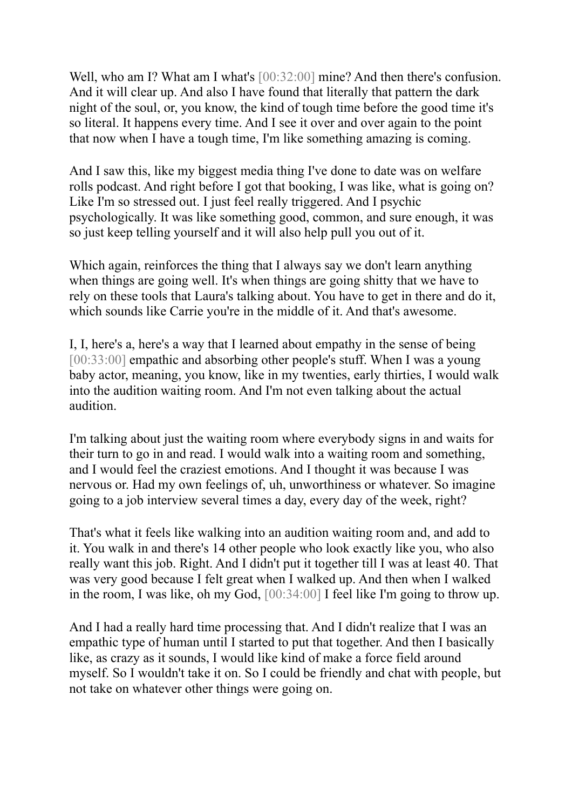Well, who am I? What am I what's [00:32:00] mine? And then there's confusion. And it will clear up. And also I have found that literally that pattern the dark night of the soul, or, you know, the kind of tough time before the good time it's so literal. It happens every time. And I see it over and over again to the point that now when I have a tough time, I'm like something amazing is coming.

And I saw this, like my biggest media thing I've done to date was on welfare rolls podcast. And right before I got that booking, I was like, what is going on? Like I'm so stressed out. I just feel really triggered. And I psychic psychologically. It was like something good, common, and sure enough, it was so just keep telling yourself and it will also help pull you out of it.

Which again, reinforces the thing that I always say we don't learn anything when things are going well. It's when things are going shitty that we have to rely on these tools that Laura's talking about. You have to get in there and do it, which sounds like Carrie you're in the middle of it. And that's awesome.

I, I, here's a, here's a way that I learned about empathy in the sense of being [00:33:00] empathic and absorbing other people's stuff. When I was a young baby actor, meaning, you know, like in my twenties, early thirties, I would walk into the audition waiting room. And I'm not even talking about the actual audition.

I'm talking about just the waiting room where everybody signs in and waits for their turn to go in and read. I would walk into a waiting room and something, and I would feel the craziest emotions. And I thought it was because I was nervous or. Had my own feelings of, uh, unworthiness or whatever. So imagine going to a job interview several times a day, every day of the week, right?

That's what it feels like walking into an audition waiting room and, and add to it. You walk in and there's 14 other people who look exactly like you, who also really want this job. Right. And I didn't put it together till I was at least 40. That was very good because I felt great when I walked up. And then when I walked in the room, I was like, oh my God, [00:34:00] I feel like I'm going to throw up.

And I had a really hard time processing that. And I didn't realize that I was an empathic type of human until I started to put that together. And then I basically like, as crazy as it sounds, I would like kind of make a force field around myself. So I wouldn't take it on. So I could be friendly and chat with people, but not take on whatever other things were going on.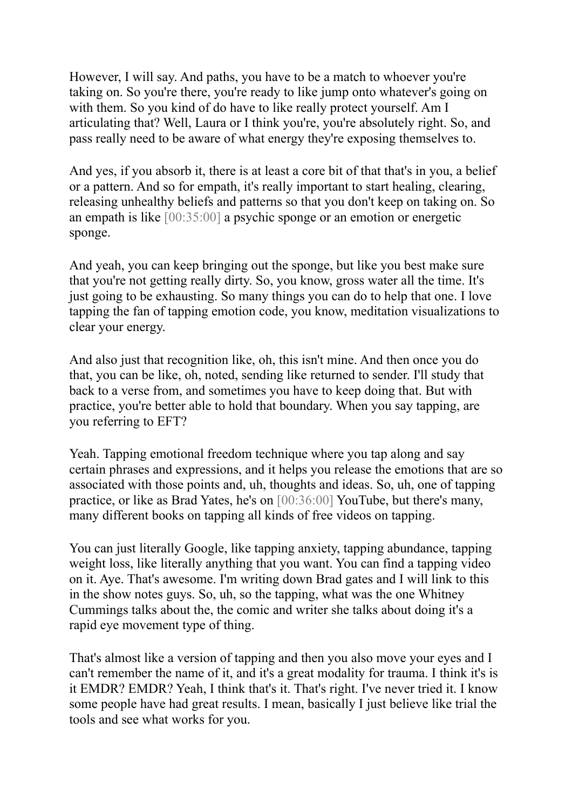However, I will say. And paths, you have to be a match to whoever you're taking on. So you're there, you're ready to like jump onto whatever's going on with them. So you kind of do have to like really protect yourself. Am I articulating that? Well, Laura or I think you're, you're absolutely right. So, and pass really need to be aware of what energy they're exposing themselves to.

And yes, if you absorb it, there is at least a core bit of that that's in you, a belief or a pattern. And so for empath, it's really important to start healing, clearing, releasing unhealthy beliefs and patterns so that you don't keep on taking on. So an empath is like [00:35:00] a psychic sponge or an emotion or energetic sponge.

And yeah, you can keep bringing out the sponge, but like you best make sure that you're not getting really dirty. So, you know, gross water all the time. It's just going to be exhausting. So many things you can do to help that one. I love tapping the fan of tapping emotion code, you know, meditation visualizations to clear your energy.

And also just that recognition like, oh, this isn't mine. And then once you do that, you can be like, oh, noted, sending like returned to sender. I'll study that back to a verse from, and sometimes you have to keep doing that. But with practice, you're better able to hold that boundary. When you say tapping, are you referring to EFT?

Yeah. Tapping emotional freedom technique where you tap along and say certain phrases and expressions, and it helps you release the emotions that are so associated with those points and, uh, thoughts and ideas. So, uh, one of tapping practice, or like as Brad Yates, he's on [00:36:00] YouTube, but there's many, many different books on tapping all kinds of free videos on tapping.

You can just literally Google, like tapping anxiety, tapping abundance, tapping weight loss, like literally anything that you want. You can find a tapping video on it. Aye. That's awesome. I'm writing down Brad gates and I will link to this in the show notes guys. So, uh, so the tapping, what was the one Whitney Cummings talks about the, the comic and writer she talks about doing it's a rapid eye movement type of thing.

That's almost like a version of tapping and then you also move your eyes and I can't remember the name of it, and it's a great modality for trauma. I think it's is it EMDR? EMDR? Yeah, I think that's it. That's right. I've never tried it. I know some people have had great results. I mean, basically I just believe like trial the tools and see what works for you.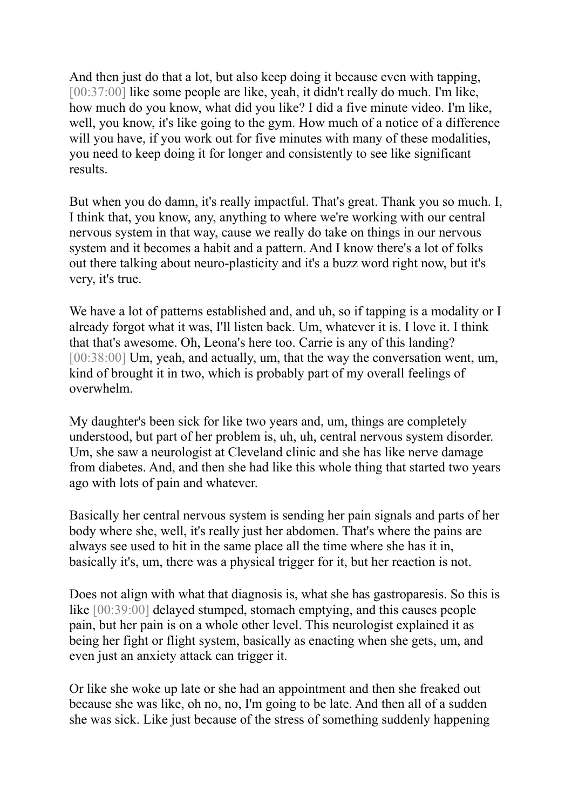And then just do that a lot, but also keep doing it because even with tapping, [00:37:00] like some people are like, yeah, it didn't really do much. I'm like, how much do you know, what did you like? I did a five minute video. I'm like, well, you know, it's like going to the gym. How much of a notice of a difference will you have, if you work out for five minutes with many of these modalities, you need to keep doing it for longer and consistently to see like significant results.

But when you do damn, it's really impactful. That's great. Thank you so much. I, I think that, you know, any, anything to where we're working with our central nervous system in that way, cause we really do take on things in our nervous system and it becomes a habit and a pattern. And I know there's a lot of folks out there talking about neuro-plasticity and it's a buzz word right now, but it's very, it's true.

We have a lot of patterns established and, and uh, so if tapping is a modality or I already forgot what it was, I'll listen back. Um, whatever it is. I love it. I think that that's awesome. Oh, Leona's here too. Carrie is any of this landing? [00:38:00] Um, yeah, and actually, um, that the way the conversation went, um, kind of brought it in two, which is probably part of my overall feelings of overwhelm.

My daughter's been sick for like two years and, um, things are completely understood, but part of her problem is, uh, uh, central nervous system disorder. Um, she saw a neurologist at Cleveland clinic and she has like nerve damage from diabetes. And, and then she had like this whole thing that started two years ago with lots of pain and whatever.

Basically her central nervous system is sending her pain signals and parts of her body where she, well, it's really just her abdomen. That's where the pains are always see used to hit in the same place all the time where she has it in, basically it's, um, there was a physical trigger for it, but her reaction is not.

Does not align with what that diagnosis is, what she has gastroparesis. So this is like [00:39:00] delayed stumped, stomach emptying, and this causes people pain, but her pain is on a whole other level. This neurologist explained it as being her fight or flight system, basically as enacting when she gets, um, and even just an anxiety attack can trigger it.

Or like she woke up late or she had an appointment and then she freaked out because she was like, oh no, no, I'm going to be late. And then all of a sudden she was sick. Like just because of the stress of something suddenly happening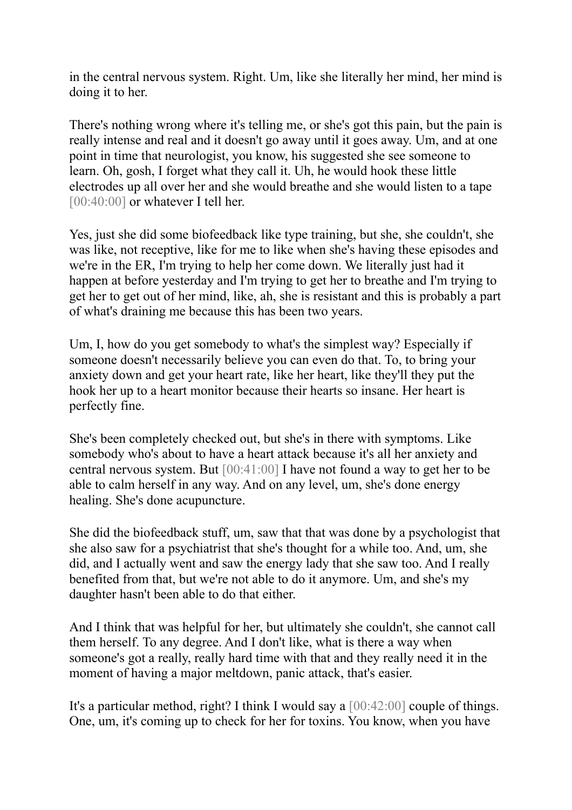in the central nervous system. Right. Um, like she literally her mind, her mind is doing it to her.

There's nothing wrong where it's telling me, or she's got this pain, but the pain is really intense and real and it doesn't go away until it goes away. Um, and at one point in time that neurologist, you know, his suggested she see someone to learn. Oh, gosh, I forget what they call it. Uh, he would hook these little electrodes up all over her and she would breathe and she would listen to a tape [00:40:00] or whatever I tell her.

Yes, just she did some biofeedback like type training, but she, she couldn't, she was like, not receptive, like for me to like when she's having these episodes and we're in the ER, I'm trying to help her come down. We literally just had it happen at before yesterday and I'm trying to get her to breathe and I'm trying to get her to get out of her mind, like, ah, she is resistant and this is probably a part of what's draining me because this has been two years.

Um, I, how do you get somebody to what's the simplest way? Especially if someone doesn't necessarily believe you can even do that. To, to bring your anxiety down and get your heart rate, like her heart, like they'll they put the hook her up to a heart monitor because their hearts so insane. Her heart is perfectly fine.

She's been completely checked out, but she's in there with symptoms. Like somebody who's about to have a heart attack because it's all her anxiety and central nervous system. But [00:41:00] I have not found a way to get her to be able to calm herself in any way. And on any level, um, she's done energy healing. She's done acupuncture.

She did the biofeedback stuff, um, saw that that was done by a psychologist that she also saw for a psychiatrist that she's thought for a while too. And, um, she did, and I actually went and saw the energy lady that she saw too. And I really benefited from that, but we're not able to do it anymore. Um, and she's my daughter hasn't been able to do that either.

And I think that was helpful for her, but ultimately she couldn't, she cannot call them herself. To any degree. And I don't like, what is there a way when someone's got a really, really hard time with that and they really need it in the moment of having a major meltdown, panic attack, that's easier.

It's a particular method, right? I think I would say a [00:42:00] couple of things. One, um, it's coming up to check for her for toxins. You know, when you have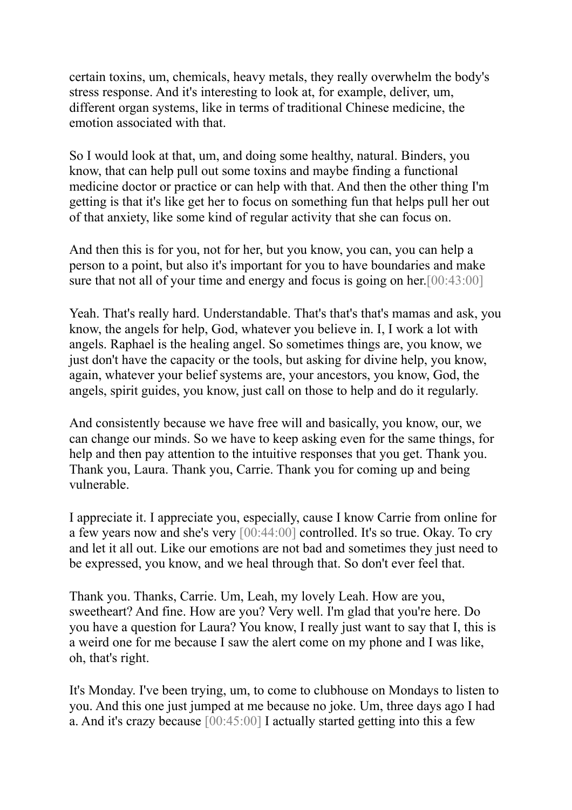certain toxins, um, chemicals, heavy metals, they really overwhelm the body's stress response. And it's interesting to look at, for example, deliver, um, different organ systems, like in terms of traditional Chinese medicine, the emotion associated with that.

So I would look at that, um, and doing some healthy, natural. Binders, you know, that can help pull out some toxins and maybe finding a functional medicine doctor or practice or can help with that. And then the other thing I'm getting is that it's like get her to focus on something fun that helps pull her out of that anxiety, like some kind of regular activity that she can focus on.

And then this is for you, not for her, but you know, you can, you can help a person to a point, but also it's important for you to have boundaries and make sure that not all of your time and energy and focus is going on her.[00:43:00]

Yeah. That's really hard. Understandable. That's that's that's mamas and ask, you know, the angels for help, God, whatever you believe in. I, I work a lot with angels. Raphael is the healing angel. So sometimes things are, you know, we just don't have the capacity or the tools, but asking for divine help, you know, again, whatever your belief systems are, your ancestors, you know, God, the angels, spirit guides, you know, just call on those to help and do it regularly.

And consistently because we have free will and basically, you know, our, we can change our minds. So we have to keep asking even for the same things, for help and then pay attention to the intuitive responses that you get. Thank you. Thank you, Laura. Thank you, Carrie. Thank you for coming up and being vulnerable.

I appreciate it. I appreciate you, especially, cause I know Carrie from online for a few years now and she's very [00:44:00] controlled. It's so true. Okay. To cry and let it all out. Like our emotions are not bad and sometimes they just need to be expressed, you know, and we heal through that. So don't ever feel that.

Thank you. Thanks, Carrie. Um, Leah, my lovely Leah. How are you, sweetheart? And fine. How are you? Very well. I'm glad that you're here. Do you have a question for Laura? You know, I really just want to say that I, this is a weird one for me because I saw the alert come on my phone and I was like, oh, that's right.

It's Monday. I've been trying, um, to come to clubhouse on Mondays to listen to you. And this one just jumped at me because no joke. Um, three days ago I had a. And it's crazy because [00:45:00] I actually started getting into this a few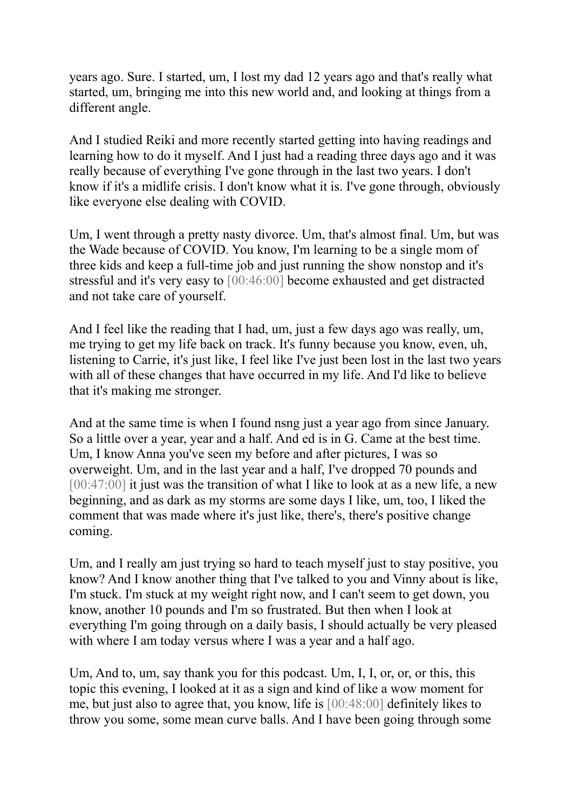years ago. Sure. I started, um, I lost my dad 12 years ago and that's really what started, um, bringing me into this new world and, and looking at things from a different angle.

And I studied Reiki and more recently started getting into having readings and learning how to do it myself. And I just had a reading three days ago and it was really because of everything I've gone through in the last two years. I don't know if it's a midlife crisis. I don't know what it is. I've gone through, obviously like everyone else dealing with COVID.

Um, I went through a pretty nasty divorce. Um, that's almost final. Um, but was the Wade because of COVID. You know, I'm learning to be a single mom of three kids and keep a full-time job and just running the show nonstop and it's stressful and it's very easy to [00:46:00] become exhausted and get distracted and not take care of yourself.

And I feel like the reading that I had, um, just a few days ago was really, um, me trying to get my life back on track. It's funny because you know, even, uh, listening to Carrie, it's just like, I feel like I've just been lost in the last two years with all of these changes that have occurred in my life. And I'd like to believe that it's making me stronger.

And at the same time is when I found nsng just a year ago from since January. So a little over a year, year and a half. And ed is in G. Came at the best time. Um, I know Anna you've seen my before and after pictures, I was so overweight. Um, and in the last year and a half, I've dropped 70 pounds and [00:47:00] it just was the transition of what I like to look at as a new life, a new beginning, and as dark as my storms are some days I like, um, too, I liked the comment that was made where it's just like, there's, there's positive change coming.

Um, and I really am just trying so hard to teach myself just to stay positive, you know? And I know another thing that I've talked to you and Vinny about is like, I'm stuck. I'm stuck at my weight right now, and I can't seem to get down, you know, another 10 pounds and I'm so frustrated. But then when I look at everything I'm going through on a daily basis, I should actually be very pleased with where I am today versus where I was a year and a half ago.

Um, And to, um, say thank you for this podcast. Um, I, I, or, or, or this, this topic this evening, I looked at it as a sign and kind of like a wow moment for me, but just also to agree that, you know, life is [00:48:00] definitely likes to throw you some, some mean curve balls. And I have been going through some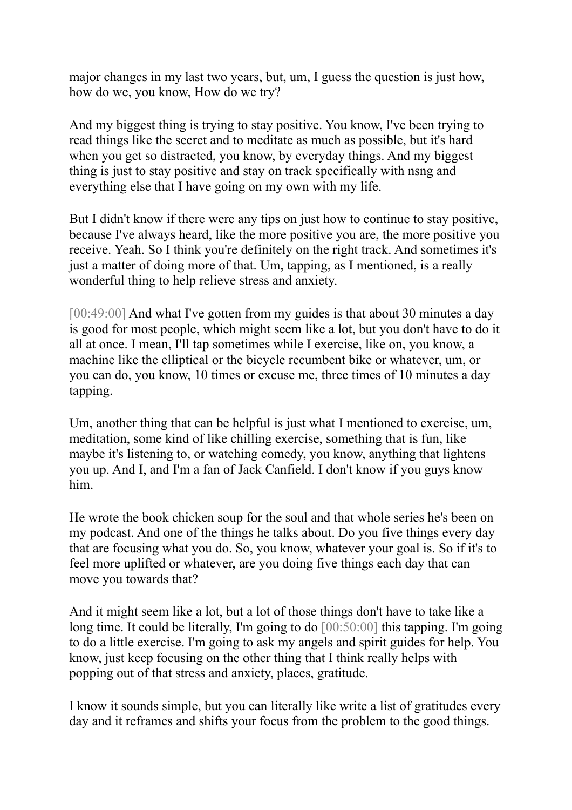major changes in my last two years, but, um, I guess the question is just how, how do we, you know, How do we try?

And my biggest thing is trying to stay positive. You know, I've been trying to read things like the secret and to meditate as much as possible, but it's hard when you get so distracted, you know, by everyday things. And my biggest thing is just to stay positive and stay on track specifically with nsng and everything else that I have going on my own with my life.

But I didn't know if there were any tips on just how to continue to stay positive, because I've always heard, like the more positive you are, the more positive you receive. Yeah. So I think you're definitely on the right track. And sometimes it's just a matter of doing more of that. Um, tapping, as I mentioned, is a really wonderful thing to help relieve stress and anxiety.

[00:49:00] And what I've gotten from my guides is that about 30 minutes a day is good for most people, which might seem like a lot, but you don't have to do it all at once. I mean, I'll tap sometimes while I exercise, like on, you know, a machine like the elliptical or the bicycle recumbent bike or whatever, um, or you can do, you know, 10 times or excuse me, three times of 10 minutes a day tapping.

Um, another thing that can be helpful is just what I mentioned to exercise, um, meditation, some kind of like chilling exercise, something that is fun, like maybe it's listening to, or watching comedy, you know, anything that lightens you up. And I, and I'm a fan of Jack Canfield. I don't know if you guys know him.

He wrote the book chicken soup for the soul and that whole series he's been on my podcast. And one of the things he talks about. Do you five things every day that are focusing what you do. So, you know, whatever your goal is. So if it's to feel more uplifted or whatever, are you doing five things each day that can move you towards that?

And it might seem like a lot, but a lot of those things don't have to take like a long time. It could be literally, I'm going to do [00:50:00] this tapping. I'm going to do a little exercise. I'm going to ask my angels and spirit guides for help. You know, just keep focusing on the other thing that I think really helps with popping out of that stress and anxiety, places, gratitude.

I know it sounds simple, but you can literally like write a list of gratitudes every day and it reframes and shifts your focus from the problem to the good things.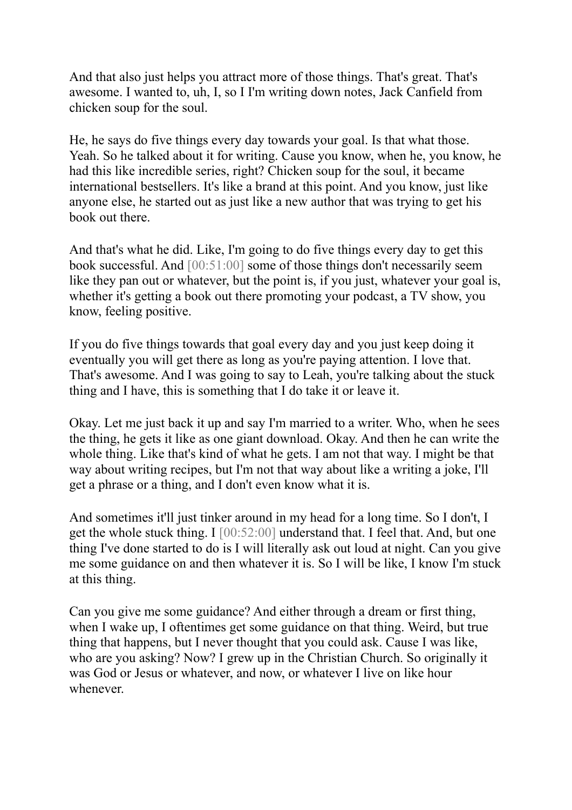And that also just helps you attract more of those things. That's great. That's awesome. I wanted to, uh, I, so I I'm writing down notes, Jack Canfield from chicken soup for the soul.

He, he says do five things every day towards your goal. Is that what those. Yeah. So he talked about it for writing. Cause you know, when he, you know, he had this like incredible series, right? Chicken soup for the soul, it became international bestsellers. It's like a brand at this point. And you know, just like anyone else, he started out as just like a new author that was trying to get his book out there.

And that's what he did. Like, I'm going to do five things every day to get this book successful. And [00:51:00] some of those things don't necessarily seem like they pan out or whatever, but the point is, if you just, whatever your goal is, whether it's getting a book out there promoting your podcast, a TV show, you know, feeling positive.

If you do five things towards that goal every day and you just keep doing it eventually you will get there as long as you're paying attention. I love that. That's awesome. And I was going to say to Leah, you're talking about the stuck thing and I have, this is something that I do take it or leave it.

Okay. Let me just back it up and say I'm married to a writer. Who, when he sees the thing, he gets it like as one giant download. Okay. And then he can write the whole thing. Like that's kind of what he gets. I am not that way. I might be that way about writing recipes, but I'm not that way about like a writing a joke, I'll get a phrase or a thing, and I don't even know what it is.

And sometimes it'll just tinker around in my head for a long time. So I don't, I get the whole stuck thing. I [00:52:00] understand that. I feel that. And, but one thing I've done started to do is I will literally ask out loud at night. Can you give me some guidance on and then whatever it is. So I will be like, I know I'm stuck at this thing.

Can you give me some guidance? And either through a dream or first thing, when I wake up, I oftentimes get some guidance on that thing. Weird, but true thing that happens, but I never thought that you could ask. Cause I was like, who are you asking? Now? I grew up in the Christian Church. So originally it was God or Jesus or whatever, and now, or whatever I live on like hour whenever.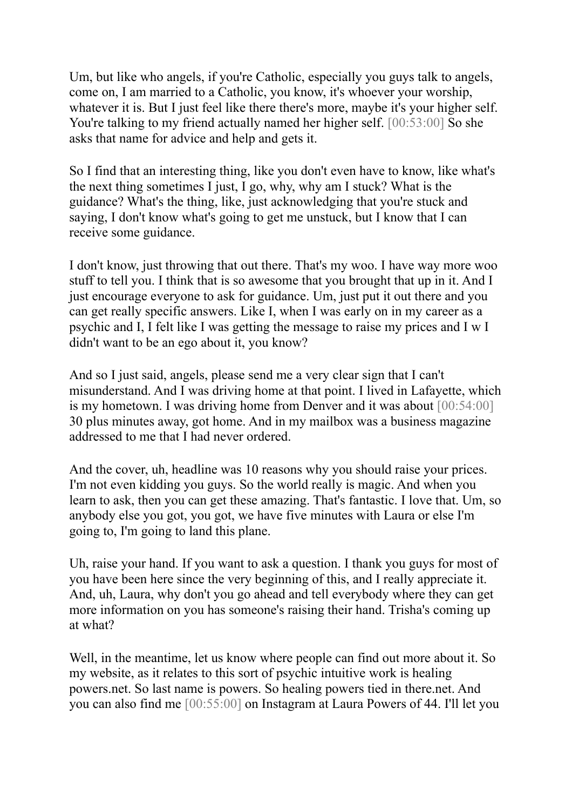Um, but like who angels, if you're Catholic, especially you guys talk to angels, come on, I am married to a Catholic, you know, it's whoever your worship, whatever it is. But I just feel like there there's more, maybe it's your higher self. You're talking to my friend actually named her higher self. [00:53:00] So she asks that name for advice and help and gets it.

So I find that an interesting thing, like you don't even have to know, like what's the next thing sometimes I just, I go, why, why am I stuck? What is the guidance? What's the thing, like, just acknowledging that you're stuck and saying, I don't know what's going to get me unstuck, but I know that I can receive some guidance.

I don't know, just throwing that out there. That's my woo. I have way more woo stuff to tell you. I think that is so awesome that you brought that up in it. And I just encourage everyone to ask for guidance. Um, just put it out there and you can get really specific answers. Like I, when I was early on in my career as a psychic and I, I felt like I was getting the message to raise my prices and I w I didn't want to be an ego about it, you know?

And so I just said, angels, please send me a very clear sign that I can't misunderstand. And I was driving home at that point. I lived in Lafayette, which is my hometown. I was driving home from Denver and it was about [00:54:00] 30 plus minutes away, got home. And in my mailbox was a business magazine addressed to me that I had never ordered.

And the cover, uh, headline was 10 reasons why you should raise your prices. I'm not even kidding you guys. So the world really is magic. And when you learn to ask, then you can get these amazing. That's fantastic. I love that. Um, so anybody else you got, you got, we have five minutes with Laura or else I'm going to, I'm going to land this plane.

Uh, raise your hand. If you want to ask a question. I thank you guys for most of you have been here since the very beginning of this, and I really appreciate it. And, uh, Laura, why don't you go ahead and tell everybody where they can get more information on you has someone's raising their hand. Trisha's coming up at what?

Well, in the meantime, let us know where people can find out more about it. So my website, as it relates to this sort of psychic intuitive work is healing powers.net. So last name is powers. So healing powers tied in there.net. And you can also find me [00:55:00] on Instagram at Laura Powers of 44. I'll let you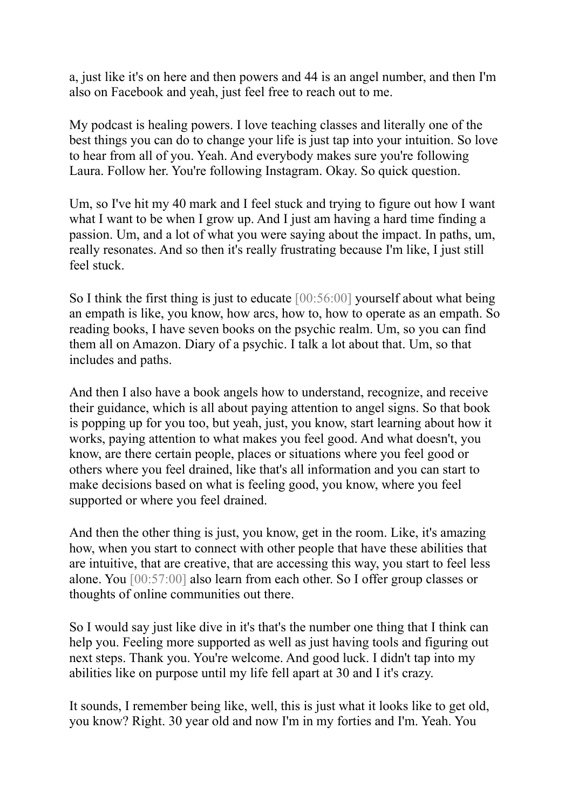a, just like it's on here and then powers and 44 is an angel number, and then I'm also on Facebook and yeah, just feel free to reach out to me.

My podcast is healing powers. I love teaching classes and literally one of the best things you can do to change your life is just tap into your intuition. So love to hear from all of you. Yeah. And everybody makes sure you're following Laura. Follow her. You're following Instagram. Okay. So quick question.

Um, so I've hit my 40 mark and I feel stuck and trying to figure out how I want what I want to be when I grow up. And I just am having a hard time finding a passion. Um, and a lot of what you were saying about the impact. In paths, um, really resonates. And so then it's really frustrating because I'm like, I just still feel stuck.

So I think the first thing is just to educate [00:56:00] yourself about what being an empath is like, you know, how arcs, how to, how to operate as an empath. So reading books, I have seven books on the psychic realm. Um, so you can find them all on Amazon. Diary of a psychic. I talk a lot about that. Um, so that includes and paths.

And then I also have a book angels how to understand, recognize, and receive their guidance, which is all about paying attention to angel signs. So that book is popping up for you too, but yeah, just, you know, start learning about how it works, paying attention to what makes you feel good. And what doesn't, you know, are there certain people, places or situations where you feel good or others where you feel drained, like that's all information and you can start to make decisions based on what is feeling good, you know, where you feel supported or where you feel drained.

And then the other thing is just, you know, get in the room. Like, it's amazing how, when you start to connect with other people that have these abilities that are intuitive, that are creative, that are accessing this way, you start to feel less alone. You [00:57:00] also learn from each other. So I offer group classes or thoughts of online communities out there.

So I would say just like dive in it's that's the number one thing that I think can help you. Feeling more supported as well as just having tools and figuring out next steps. Thank you. You're welcome. And good luck. I didn't tap into my abilities like on purpose until my life fell apart at 30 and I it's crazy.

It sounds, I remember being like, well, this is just what it looks like to get old, you know? Right. 30 year old and now I'm in my forties and I'm. Yeah. You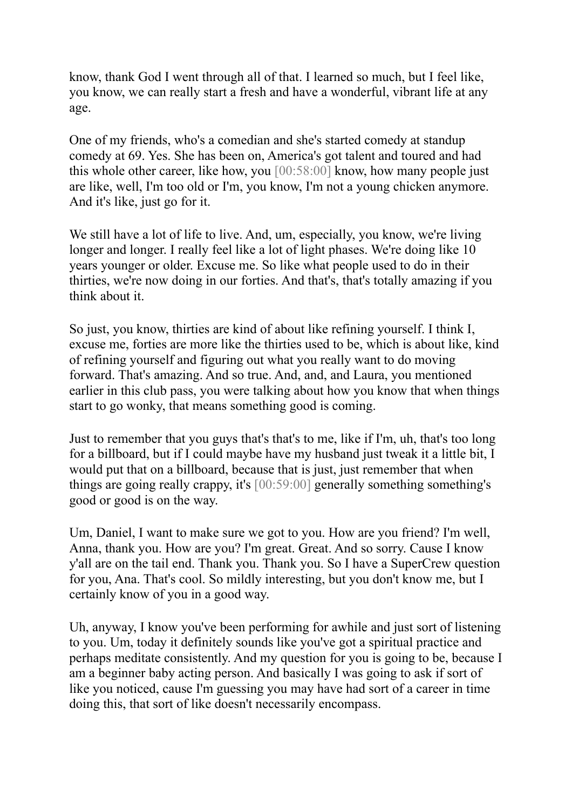know, thank God I went through all of that. I learned so much, but I feel like, you know, we can really start a fresh and have a wonderful, vibrant life at any age.

One of my friends, who's a comedian and she's started comedy at standup comedy at 69. Yes. She has been on, America's got talent and toured and had this whole other career, like how, you [00:58:00] know, how many people just are like, well, I'm too old or I'm, you know, I'm not a young chicken anymore. And it's like, just go for it.

We still have a lot of life to live. And, um, especially, you know, we're living longer and longer. I really feel like a lot of light phases. We're doing like 10 years younger or older. Excuse me. So like what people used to do in their thirties, we're now doing in our forties. And that's, that's totally amazing if you think about it.

So just, you know, thirties are kind of about like refining yourself. I think I, excuse me, forties are more like the thirties used to be, which is about like, kind of refining yourself and figuring out what you really want to do moving forward. That's amazing. And so true. And, and, and Laura, you mentioned earlier in this club pass, you were talking about how you know that when things start to go wonky, that means something good is coming.

Just to remember that you guys that's that's to me, like if I'm, uh, that's too long for a billboard, but if I could maybe have my husband just tweak it a little bit, I would put that on a billboard, because that is just, just remember that when things are going really crappy, it's [00:59:00] generally something something's good or good is on the way.

Um, Daniel, I want to make sure we got to you. How are you friend? I'm well, Anna, thank you. How are you? I'm great. Great. And so sorry. Cause I know y'all are on the tail end. Thank you. Thank you. So I have a SuperCrew question for you, Ana. That's cool. So mildly interesting, but you don't know me, but I certainly know of you in a good way.

Uh, anyway, I know you've been performing for awhile and just sort of listening to you. Um, today it definitely sounds like you've got a spiritual practice and perhaps meditate consistently. And my question for you is going to be, because I am a beginner baby acting person. And basically I was going to ask if sort of like you noticed, cause I'm guessing you may have had sort of a career in time doing this, that sort of like doesn't necessarily encompass.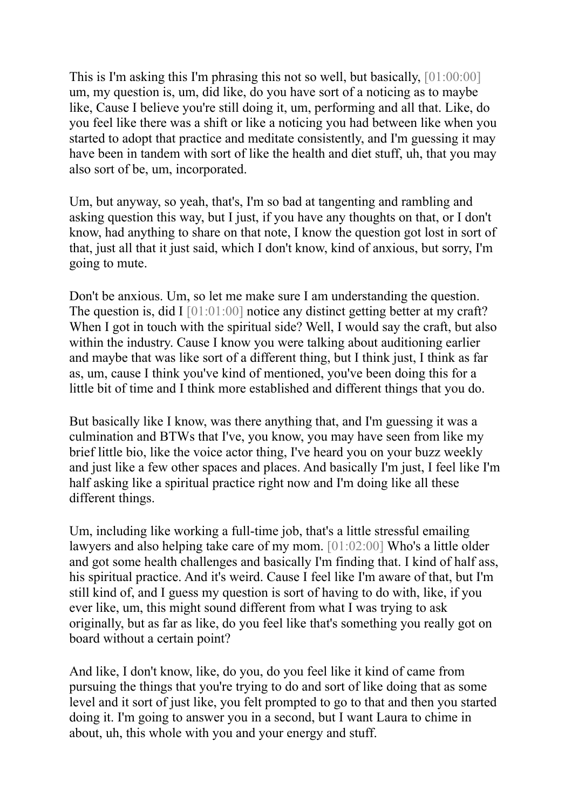This is I'm asking this I'm phrasing this not so well, but basically, [01:00:00] um, my question is, um, did like, do you have sort of a noticing as to maybe like, Cause I believe you're still doing it, um, performing and all that. Like, do you feel like there was a shift or like a noticing you had between like when you started to adopt that practice and meditate consistently, and I'm guessing it may have been in tandem with sort of like the health and diet stuff, uh, that you may also sort of be, um, incorporated.

Um, but anyway, so yeah, that's, I'm so bad at tangenting and rambling and asking question this way, but I just, if you have any thoughts on that, or I don't know, had anything to share on that note, I know the question got lost in sort of that, just all that it just said, which I don't know, kind of anxious, but sorry, I'm going to mute.

Don't be anxious. Um, so let me make sure I am understanding the question. The question is, did I [01:01:00] notice any distinct getting better at my craft? When I got in touch with the spiritual side? Well, I would say the craft, but also within the industry. Cause I know you were talking about auditioning earlier and maybe that was like sort of a different thing, but I think just, I think as far as, um, cause I think you've kind of mentioned, you've been doing this for a little bit of time and I think more established and different things that you do.

But basically like I know, was there anything that, and I'm guessing it was a culmination and BTWs that I've, you know, you may have seen from like my brief little bio, like the voice actor thing, I've heard you on your buzz weekly and just like a few other spaces and places. And basically I'm just, I feel like I'm half asking like a spiritual practice right now and I'm doing like all these different things.

Um, including like working a full-time job, that's a little stressful emailing lawyers and also helping take care of my mom. [01:02:00] Who's a little older and got some health challenges and basically I'm finding that. I kind of half ass, his spiritual practice. And it's weird. Cause I feel like I'm aware of that, but I'm still kind of, and I guess my question is sort of having to do with, like, if you ever like, um, this might sound different from what I was trying to ask originally, but as far as like, do you feel like that's something you really got on board without a certain point?

And like, I don't know, like, do you, do you feel like it kind of came from pursuing the things that you're trying to do and sort of like doing that as some level and it sort of just like, you felt prompted to go to that and then you started doing it. I'm going to answer you in a second, but I want Laura to chime in about, uh, this whole with you and your energy and stuff.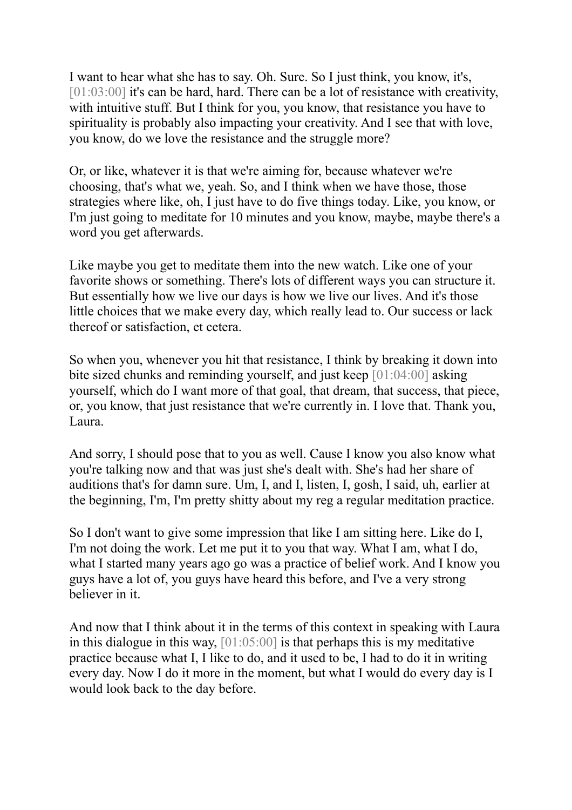I want to hear what she has to say. Oh. Sure. So I just think, you know, it's, [01:03:00] it's can be hard, hard. There can be a lot of resistance with creativity, with intuitive stuff. But I think for you, you know, that resistance you have to spirituality is probably also impacting your creativity. And I see that with love, you know, do we love the resistance and the struggle more?

Or, or like, whatever it is that we're aiming for, because whatever we're choosing, that's what we, yeah. So, and I think when we have those, those strategies where like, oh, I just have to do five things today. Like, you know, or I'm just going to meditate for 10 minutes and you know, maybe, maybe there's a word you get afterwards.

Like maybe you get to meditate them into the new watch. Like one of your favorite shows or something. There's lots of different ways you can structure it. But essentially how we live our days is how we live our lives. And it's those little choices that we make every day, which really lead to. Our success or lack thereof or satisfaction, et cetera.

So when you, whenever you hit that resistance, I think by breaking it down into bite sized chunks and reminding yourself, and just keep [01:04:00] asking yourself, which do I want more of that goal, that dream, that success, that piece, or, you know, that just resistance that we're currently in. I love that. Thank you, Laura.

And sorry, I should pose that to you as well. Cause I know you also know what you're talking now and that was just she's dealt with. She's had her share of auditions that's for damn sure. Um, I, and I, listen, I, gosh, I said, uh, earlier at the beginning, I'm, I'm pretty shitty about my reg a regular meditation practice.

So I don't want to give some impression that like I am sitting here. Like do I, I'm not doing the work. Let me put it to you that way. What I am, what I do, what I started many years ago go was a practice of belief work. And I know you guys have a lot of, you guys have heard this before, and I've a very strong believer in it.

And now that I think about it in the terms of this context in speaking with Laura in this dialogue in this way, [01:05:00] is that perhaps this is my meditative practice because what I, I like to do, and it used to be, I had to do it in writing every day. Now I do it more in the moment, but what I would do every day is I would look back to the day before.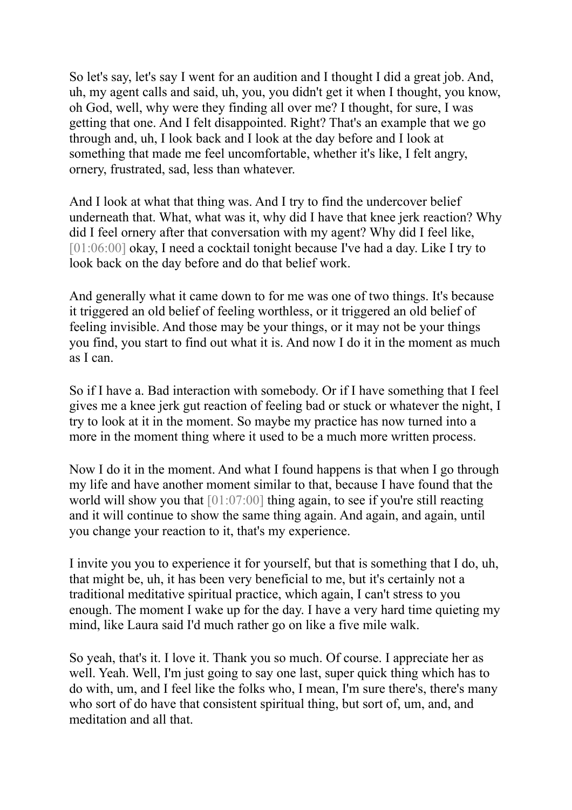So let's say, let's say I went for an audition and I thought I did a great job. And, uh, my agent calls and said, uh, you, you didn't get it when I thought, you know, oh God, well, why were they finding all over me? I thought, for sure, I was getting that one. And I felt disappointed. Right? That's an example that we go through and, uh, I look back and I look at the day before and I look at something that made me feel uncomfortable, whether it's like, I felt angry, ornery, frustrated, sad, less than whatever.

And I look at what that thing was. And I try to find the undercover belief underneath that. What, what was it, why did I have that knee jerk reaction? Why did I feel ornery after that conversation with my agent? Why did I feel like, [01:06:00] okay, I need a cocktail tonight because I've had a day. Like I try to look back on the day before and do that belief work.

And generally what it came down to for me was one of two things. It's because it triggered an old belief of feeling worthless, or it triggered an old belief of feeling invisible. And those may be your things, or it may not be your things you find, you start to find out what it is. And now I do it in the moment as much as I can.

So if I have a. Bad interaction with somebody. Or if I have something that I feel gives me a knee jerk gut reaction of feeling bad or stuck or whatever the night, I try to look at it in the moment. So maybe my practice has now turned into a more in the moment thing where it used to be a much more written process.

Now I do it in the moment. And what I found happens is that when I go through my life and have another moment similar to that, because I have found that the world will show you that [01:07:00] thing again, to see if you're still reacting and it will continue to show the same thing again. And again, and again, until you change your reaction to it, that's my experience.

I invite you you to experience it for yourself, but that is something that I do, uh, that might be, uh, it has been very beneficial to me, but it's certainly not a traditional meditative spiritual practice, which again, I can't stress to you enough. The moment I wake up for the day. I have a very hard time quieting my mind, like Laura said I'd much rather go on like a five mile walk.

So yeah, that's it. I love it. Thank you so much. Of course. I appreciate her as well. Yeah. Well, I'm just going to say one last, super quick thing which has to do with, um, and I feel like the folks who, I mean, I'm sure there's, there's many who sort of do have that consistent spiritual thing, but sort of, um, and, and meditation and all that.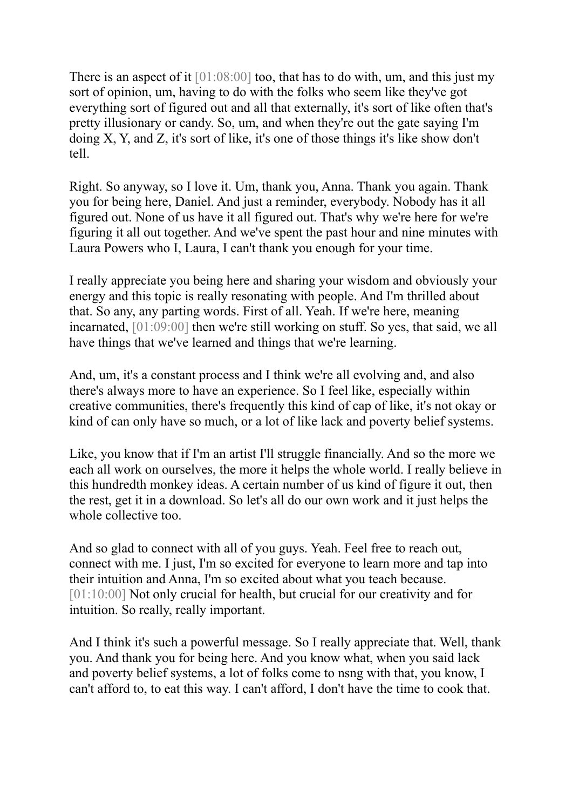There is an aspect of it  $[01:08:00]$  too, that has to do with, um, and this just my sort of opinion, um, having to do with the folks who seem like they've got everything sort of figured out and all that externally, it's sort of like often that's pretty illusionary or candy. So, um, and when they're out the gate saying I'm doing X, Y, and Z, it's sort of like, it's one of those things it's like show don't tell.

Right. So anyway, so I love it. Um, thank you, Anna. Thank you again. Thank you for being here, Daniel. And just a reminder, everybody. Nobody has it all figured out. None of us have it all figured out. That's why we're here for we're figuring it all out together. And we've spent the past hour and nine minutes with Laura Powers who I, Laura, I can't thank you enough for your time.

I really appreciate you being here and sharing your wisdom and obviously your energy and this topic is really resonating with people. And I'm thrilled about that. So any, any parting words. First of all. Yeah. If we're here, meaning incarnated, [01:09:00] then we're still working on stuff. So yes, that said, we all have things that we've learned and things that we're learning.

And, um, it's a constant process and I think we're all evolving and, and also there's always more to have an experience. So I feel like, especially within creative communities, there's frequently this kind of cap of like, it's not okay or kind of can only have so much, or a lot of like lack and poverty belief systems.

Like, you know that if I'm an artist I'll struggle financially. And so the more we each all work on ourselves, the more it helps the whole world. I really believe in this hundredth monkey ideas. A certain number of us kind of figure it out, then the rest, get it in a download. So let's all do our own work and it just helps the whole collective too.

And so glad to connect with all of you guys. Yeah. Feel free to reach out, connect with me. I just, I'm so excited for everyone to learn more and tap into their intuition and Anna, I'm so excited about what you teach because. [01:10:00] Not only crucial for health, but crucial for our creativity and for intuition. So really, really important.

And I think it's such a powerful message. So I really appreciate that. Well, thank you. And thank you for being here. And you know what, when you said lack and poverty belief systems, a lot of folks come to nsng with that, you know, I can't afford to, to eat this way. I can't afford, I don't have the time to cook that.